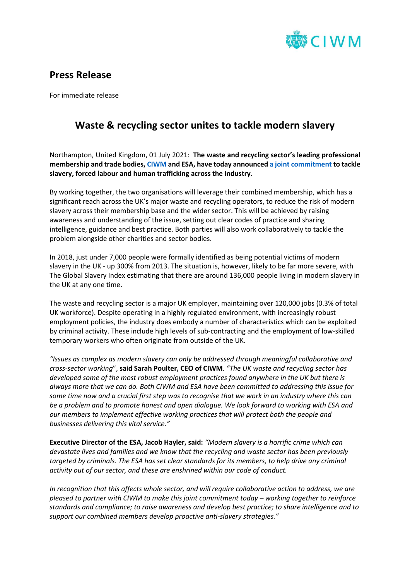

## **Press Release**

For immediate release

## **Waste & recycling sector unites to tackle modern slavery**

Northampton, United Kingdom, 01 July 2021: **The waste and recycling sector's leading professional membership and trade bodies[, CIWM](https://www.ciwm.co.uk/) and ESA, have today announce[d a joint commitment](https://www.circularonline.co.uk/wp-content/uploads/2021/06/CIWM-ESA-Modern-Slavery-Commitment.pdf) to tackle slavery, forced labour and human trafficking across the industry.** 

By working together, the two organisations will leverage their combined membership, which has a significant reach across the UK's major waste and recycling operators, to reduce the risk of modern slavery across their membership base and the wider sector. This will be achieved by raising awareness and understanding of the issue, setting out clear codes of practice and sharing intelligence, guidance and best practice. Both parties will also work collaboratively to tackle the problem alongside other charities and sector bodies.

In 2018, just under 7,000 people were formally identified as being potential victims of modern slavery in the UK - up 300% from 2013. The situation is, however, likely to be far more severe, with The Global Slavery Index estimating that there are around 136,000 people living in modern slavery in the UK at any one time.

The waste and recycling sector is a major UK employer, maintaining over 120,000 jobs (0.3% of total UK workforce). Despite operating in a highly regulated environment, with increasingly robust employment policies, the industry does embody a number of characteristics which can be exploited by criminal activity. These include high levels of sub-contracting and the employment of low-skilled temporary workers who often originate from outside of the UK.

*"Issues as complex as modern slavery can only be addressed through meaningful collaborative and cross-sector working*", **said Sarah Poulter, CEO of CIWM**. *"The UK waste and recycling sector has developed some of the most robust employment practices found anywhere in the UK but there is always more that we can do. Both CIWM and ESA have been committed to addressing this issue for some time now and a crucial first step was to recognise that we work in an industry where this can be a problem and to promote honest and open dialogue. We look forward to working with ESA and our members to implement effective working practices that will protect both the people and businesses delivering this vital service."* 

**Executive Director of the ESA, Jacob Hayler, said:** *"Modern slavery is a horrific crime which can devastate lives and families and we know that the recycling and waste sector has been previously targeted by criminals. The ESA has set clear standards for its members, to help drive any criminal activity out of our sector, and these are enshrined within our code of conduct.*

*In recognition that this affects whole sector, and will require collaborative action to address, we are pleased to partner with CIWM to make this joint commitment today – working together to reinforce standards and compliance; to raise awareness and develop best practice; to share intelligence and to support our combined members develop proactive anti-slavery strategies."*